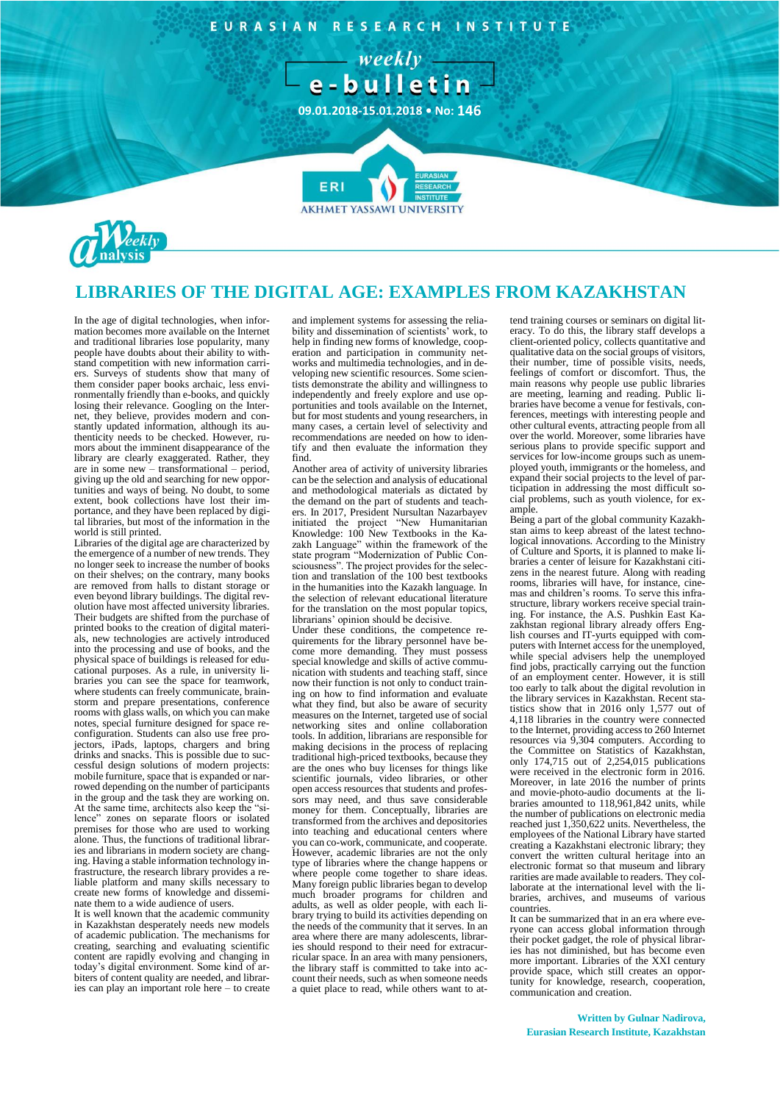

# **LIBRARIES OF THE DIGITAL AGE: EXAMPLES FROM KAZAKHSTAN**

In the age of digital technologies, when information becomes more available on the Internet and traditional libraries lose popularity, many people have doubts about their ability to withstand competition with new information carriers. Surveys of students show that many of them consider paper books archaic, less environmentally friendly than e-books, and quickly losing their relevance. Googling on the Internet, they believe, provides modern and constantly updated information, although its authenticity needs to be checked. However, rumors about the imminent disappearance of the library are clearly exaggerated. Rather, they are in some new – transformational – period, giving up the old and searching for new opportunities and ways of being. No doubt, to some extent, book collections have lost their importance, and they have been replaced by digital libraries, but most of the information in the world is still printed.

Libraries of the digital age are characterized by the emergence of a number of new trends. They no longer seek to increase the number of books on their shelves; on the contrary, many books are removed from halls to distant storage or even beyond library buildings. The digital revolution have most affected university libraries. Their budgets are shifted from the purchase of printed books to the creation of digital materials, new technologies are actively introduced into the processing and use of books, and the physical space of buildings is released for educational purposes. As a rule, in university libraries you can see the space for teamwork, where students can freely communicate, brainstorm and prepare presentations, conference rooms with glass walls, on which you can make notes, special furniture designed for space reconfiguration. Students can also use free projectors, iPads, laptops, chargers and bring drinks and snacks. This is possible due to successful design solutions of modern projects: mobile furniture, space that is expanded or narrowed depending on the number of participants in the group and the task they are working on. At the same time, architects also keep the "silence" zones on separate floors or isolated premises for those who are used to working alone. Thus, the functions of traditional libraries and librarians in modern society are changing. Having a stable information technology infrastructure, the research library provides a reliable platform and many skills necessary to create new forms of knowledge and disseminate them to a wide audience of users.

It is well known that the academic community in Kazakhstan desperately needs new models of academic publication. The mechanisms for creating, searching and evaluating scientific content are rapidly evolving and changing in today's digital environment. Some kind of arbiters of content quality are needed, and libraries can play an important role here – to create

and implement systems for assessing the reliability and dissemination of scientists' work, to help in finding new forms of knowledge, cooperation and participation in community networks and multimedia technologies, and in developing new scientific resources. Some scientists demonstrate the ability and willingness to independently and freely explore and use opportunities and tools available on the Internet, but for most students and young researchers, in many cases, a certain level of selectivity and recommendations are needed on how to identify and then evaluate the information they find.

Another area of activity of university libraries can be the selection and analysis of educational and methodological materials as dictated by the demand on the part of students and teachers. In 2017, President Nursultan Nazarbayev initiated the project "New Humanitarian Knowledge: 100 New Textbooks in the Kazakh Language" within the framework of the state program "Modernization of Public Consciousness". The project provides for the selection and translation of the 100 best textbooks in the humanities into the Kazakh language. In the selection of relevant educational literature for the translation on the most popular topics, librarians' opinion should be decisive.

Under these conditions, the competence requirements for the library personnel have become more demanding. They must possess special knowledge and skills of active communication with students and teaching staff, since now their function is not only to conduct training on how to find information and evaluate what they find, but also be aware of security measures on the Internet, targeted use of social networking sites and online collaboration tools. In addition, librarians are responsible for making decisions in the process of replacing traditional high-priced textbooks, because they are the ones who buy licenses for things like scientific journals, video libraries, or other open access resources that students and professors may need, and thus save considerable money for them. Conceptually, libraries are transformed from the archives and depositories into teaching and educational centers where you can co-work, communicate, and cooperate. However, academic libraries are not the only type of libraries where the change happens or where people come together to share ideas. Many foreign public libraries began to develop much broader programs for children and adults, as well as older people, with each library trying to build its activities depending on the needs of the community that it serves. In an area where there are many adolescents, libraries should respond to their need for extracurricular space. In an area with many pensioners, the library staff is committed to take into account their needs, such as when someone needs a quiet place to read, while others want to attend training courses or seminars on digital literacy. To do this, the library staff develops a client-oriented policy, collects quantitative and qualitative data on the social groups of visitors, their number, time of possible visits, needs, feelings of comfort or discomfort. Thus, the main reasons why people use public libraries are meeting, learning and reading. Public libraries have become a venue for festivals, conferences, meetings with interesting people and other cultural events, attracting people from all over the world. Moreover, some libraries have serious plans to provide specific support and services for low-income groups such as unemployed youth, immigrants or the homeless, and expand their social projects to the level of participation in addressing the most difficult social problems, such as youth violence, for example.

Being a part of the global community Kazakhstan aims to keep abreast of the latest technological innovations. According to the Ministry of Culture and Sports, it is planned to make libraries a center of leisure for Kazakhstani citizens in the nearest future. Along with reading rooms, libraries will have, for instance, cinemas and children's rooms. To serve this infrastructure, library workers receive special training. For instance, the A.S. Pushkin East Kazakhstan regional library already offers English courses and IT-yurts equipped with computers with Internet access for the unemployed, while special advisers help the unemployed find jobs, practically carrying out the function of an employment center. However, it is still too early to talk about the digital revolution in the library services in Kazakhstan. Recent statistics show that in 2016 only 1,577 out of 4,118 libraries in the country were connected to the Internet, providing access to 260 Internet resources via 9,304 computers. According to the Committee on Statistics of Kazakhstan, only 174,715 out of 2,254,015 publications were received in the electronic form in 2016. Moreover, in late 2016 the number of prints and movie-photo-audio documents at the libraries amounted to 118,961,842 units, while the number of publications on electronic media reached just 1,350,622 units. Nevertheless, the employees of the National Library have started creating a Kazakhstani electronic library; they convert the written cultural heritage into an electronic format so that museum and library rarities are made available to readers. They collaborate at the international level with the libraries, archives, and museums of various countries.

It can be summarized that in an era where everyone can access global information through their pocket gadget, the role of physical libraries has not diminished, but has become even more important. Libraries of the XXI century provide space, which still creates an opportunity for knowledge, research, cooperation, communication and creation.

#### **Written by Gulnar Nadirova, Eurasian Research Institute, Kazakhstan**